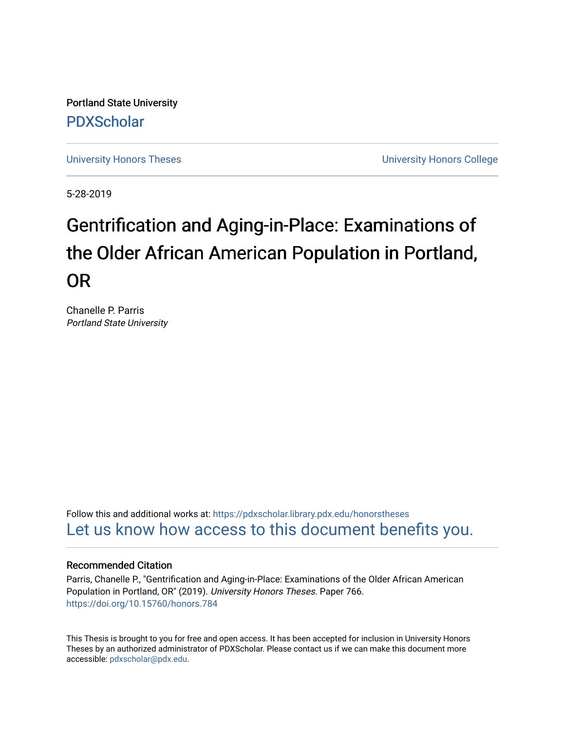Portland State University [PDXScholar](https://pdxscholar.library.pdx.edu/)

[University Honors Theses](https://pdxscholar.library.pdx.edu/honorstheses) [University Honors College](https://pdxscholar.library.pdx.edu/honors) 

5-28-2019

# Gentrification and Aging-in-Place: Examinations of the Older African American Population in Portland, OR

Chanelle P. Parris Portland State University

Follow this and additional works at: [https://pdxscholar.library.pdx.edu/honorstheses](https://pdxscholar.library.pdx.edu/honorstheses?utm_source=pdxscholar.library.pdx.edu%2Fhonorstheses%2F766&utm_medium=PDF&utm_campaign=PDFCoverPages)  [Let us know how access to this document benefits you.](http://library.pdx.edu/services/pdxscholar-services/pdxscholar-feedback/) 

# Recommended Citation

Parris, Chanelle P., "Gentrification and Aging-in-Place: Examinations of the Older African American Population in Portland, OR" (2019). University Honors Theses. Paper 766. <https://doi.org/10.15760/honors.784>

This Thesis is brought to you for free and open access. It has been accepted for inclusion in University Honors Theses by an authorized administrator of PDXScholar. Please contact us if we can make this document more accessible: [pdxscholar@pdx.edu.](mailto:pdxscholar@pdx.edu)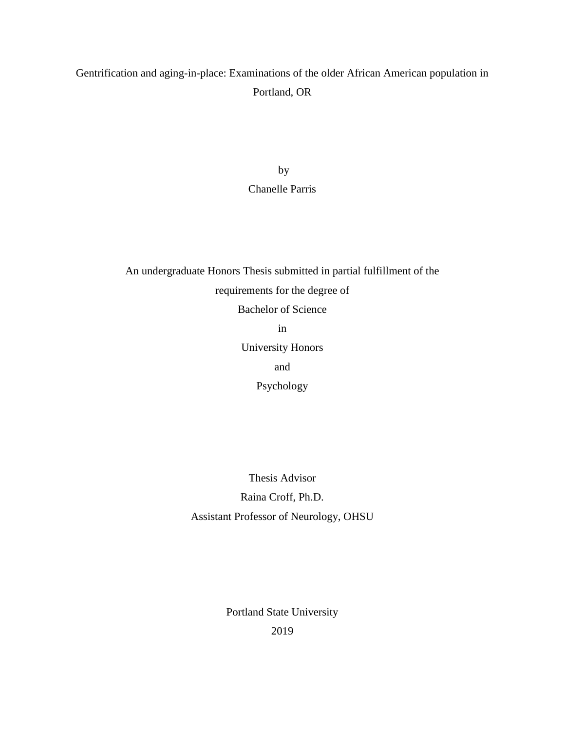# Gentrification and aging-in-place: Examinations of the older African American population in Portland, OR

by Chanelle Parris

An undergraduate Honors Thesis submitted in partial fulfillment of the requirements for the degree of Bachelor of Science in University Honors and Psychology

> Thesis Advisor Raina Croff, Ph.D. Assistant Professor of Neurology, OHSU

> > Portland State University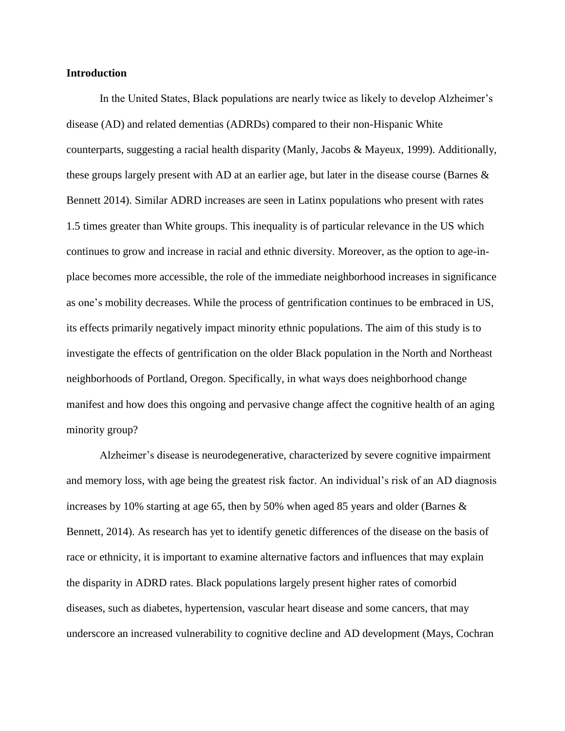# **Introduction**

In the United States, Black populations are nearly twice as likely to develop Alzheimer's disease (AD) and related dementias (ADRDs) compared to their non-Hispanic White counterparts, suggesting a racial health disparity (Manly, Jacobs & Mayeux, 1999). Additionally, these groups largely present with AD at an earlier age, but later in the disease course (Barnes & Bennett 2014). Similar ADRD increases are seen in Latinx populations who present with rates 1.5 times greater than White groups. This inequality is of particular relevance in the US which continues to grow and increase in racial and ethnic diversity. Moreover, as the option to age-inplace becomes more accessible, the role of the immediate neighborhood increases in significance as one's mobility decreases. While the process of gentrification continues to be embraced in US, its effects primarily negatively impact minority ethnic populations. The aim of this study is to investigate the effects of gentrification on the older Black population in the North and Northeast neighborhoods of Portland, Oregon. Specifically, in what ways does neighborhood change manifest and how does this ongoing and pervasive change affect the cognitive health of an aging minority group?

Alzheimer's disease is neurodegenerative, characterized by severe cognitive impairment and memory loss, with age being the greatest risk factor. An individual's risk of an AD diagnosis increases by 10% starting at age 65, then by 50% when aged 85 years and older (Barnes  $\&$ Bennett, 2014). As research has yet to identify genetic differences of the disease on the basis of race or ethnicity, it is important to examine alternative factors and influences that may explain the disparity in ADRD rates. Black populations largely present higher rates of comorbid diseases, such as diabetes, hypertension, vascular heart disease and some cancers, that may underscore an increased vulnerability to cognitive decline and AD development (Mays, Cochran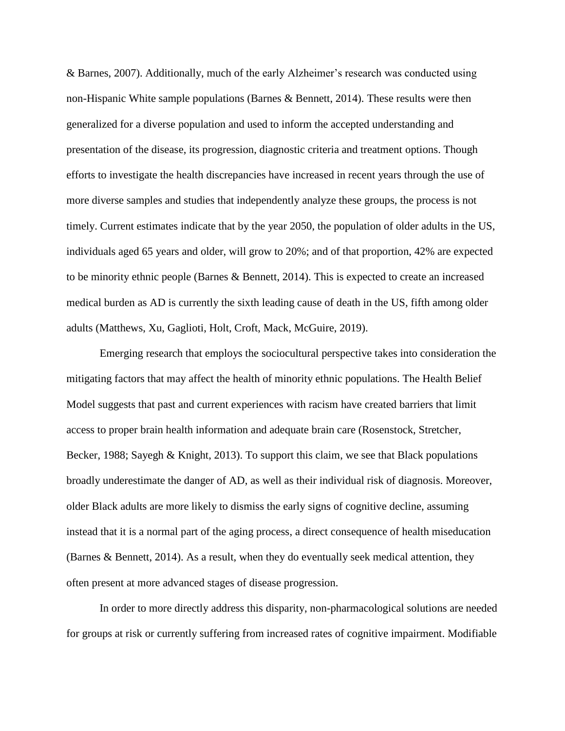& Barnes, 2007). Additionally, much of the early Alzheimer's research was conducted using non-Hispanic White sample populations (Barnes & Bennett, 2014). These results were then generalized for a diverse population and used to inform the accepted understanding and presentation of the disease, its progression, diagnostic criteria and treatment options. Though efforts to investigate the health discrepancies have increased in recent years through the use of more diverse samples and studies that independently analyze these groups, the process is not timely. Current estimates indicate that by the year 2050, the population of older adults in the US, individuals aged 65 years and older, will grow to 20%; and of that proportion, 42% are expected to be minority ethnic people (Barnes & Bennett, 2014). This is expected to create an increased medical burden as AD is currently the sixth leading cause of death in the US, fifth among older adults (Matthews, Xu, Gaglioti, Holt, Croft, Mack, McGuire, 2019).

Emerging research that employs the sociocultural perspective takes into consideration the mitigating factors that may affect the health of minority ethnic populations. The Health Belief Model suggests that past and current experiences with racism have created barriers that limit access to proper brain health information and adequate brain care (Rosenstock, Stretcher, Becker, 1988; Sayegh & Knight, 2013). To support this claim, we see that Black populations broadly underestimate the danger of AD, as well as their individual risk of diagnosis. Moreover, older Black adults are more likely to dismiss the early signs of cognitive decline, assuming instead that it is a normal part of the aging process, a direct consequence of health miseducation (Barnes & Bennett, 2014). As a result, when they do eventually seek medical attention, they often present at more advanced stages of disease progression.

In order to more directly address this disparity, non-pharmacological solutions are needed for groups at risk or currently suffering from increased rates of cognitive impairment. Modifiable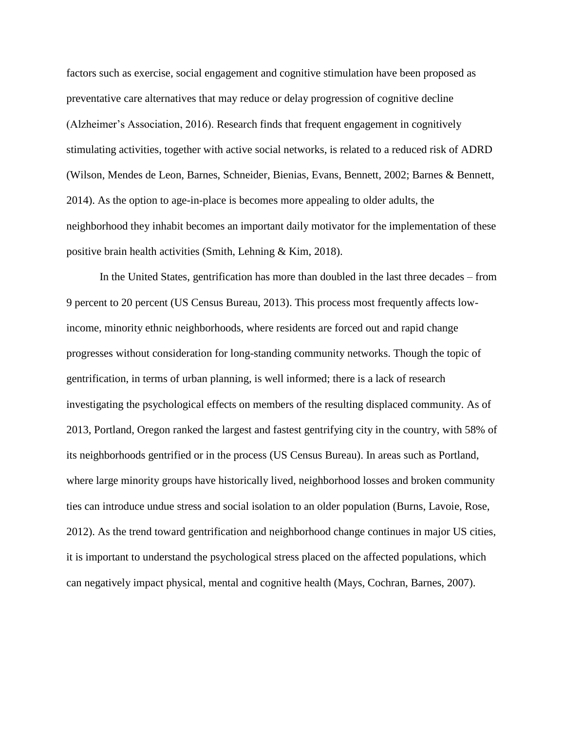factors such as exercise, social engagement and cognitive stimulation have been proposed as preventative care alternatives that may reduce or delay progression of cognitive decline (Alzheimer's Association, 2016). Research finds that frequent engagement in cognitively stimulating activities, together with active social networks, is related to a reduced risk of ADRD (Wilson, Mendes de Leon, Barnes, Schneider, Bienias, Evans, Bennett, 2002; Barnes & Bennett, 2014). As the option to age-in-place is becomes more appealing to older adults, the neighborhood they inhabit becomes an important daily motivator for the implementation of these positive brain health activities (Smith, Lehning & Kim, 2018).

In the United States, gentrification has more than doubled in the last three decades – from 9 percent to 20 percent (US Census Bureau, 2013). This process most frequently affects lowincome, minority ethnic neighborhoods, where residents are forced out and rapid change progresses without consideration for long-standing community networks. Though the topic of gentrification, in terms of urban planning, is well informed; there is a lack of research investigating the psychological effects on members of the resulting displaced community. As of 2013, Portland, Oregon ranked the largest and fastest gentrifying city in the country, with 58% of its neighborhoods gentrified or in the process (US Census Bureau). In areas such as Portland, where large minority groups have historically lived, neighborhood losses and broken community ties can introduce undue stress and social isolation to an older population (Burns, Lavoie, Rose, 2012). As the trend toward gentrification and neighborhood change continues in major US cities, it is important to understand the psychological stress placed on the affected populations, which can negatively impact physical, mental and cognitive health (Mays, Cochran, Barnes, 2007).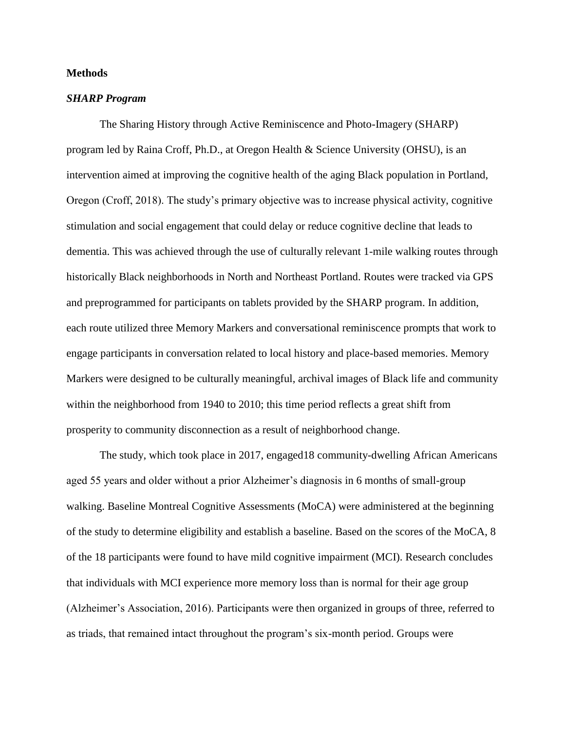# **Methods**

# *SHARP Program*

The Sharing History through Active Reminiscence and Photo-Imagery (SHARP) program led by Raina Croff, Ph.D., at Oregon Health & Science University (OHSU), is an intervention aimed at improving the cognitive health of the aging Black population in Portland, Oregon (Croff, 2018). The study's primary objective was to increase physical activity, cognitive stimulation and social engagement that could delay or reduce cognitive decline that leads to dementia. This was achieved through the use of culturally relevant 1-mile walking routes through historically Black neighborhoods in North and Northeast Portland. Routes were tracked via GPS and preprogrammed for participants on tablets provided by the SHARP program. In addition, each route utilized three Memory Markers and conversational reminiscence prompts that work to engage participants in conversation related to local history and place-based memories. Memory Markers were designed to be culturally meaningful, archival images of Black life and community within the neighborhood from 1940 to 2010; this time period reflects a great shift from prosperity to community disconnection as a result of neighborhood change.

The study, which took place in 2017, engaged18 community-dwelling African Americans aged 55 years and older without a prior Alzheimer's diagnosis in 6 months of small-group walking. Baseline Montreal Cognitive Assessments (MoCA) were administered at the beginning of the study to determine eligibility and establish a baseline. Based on the scores of the MoCA, 8 of the 18 participants were found to have mild cognitive impairment (MCI). Research concludes that individuals with MCI experience more memory loss than is normal for their age group (Alzheimer's Association, 2016). Participants were then organized in groups of three, referred to as triads, that remained intact throughout the program's six-month period. Groups were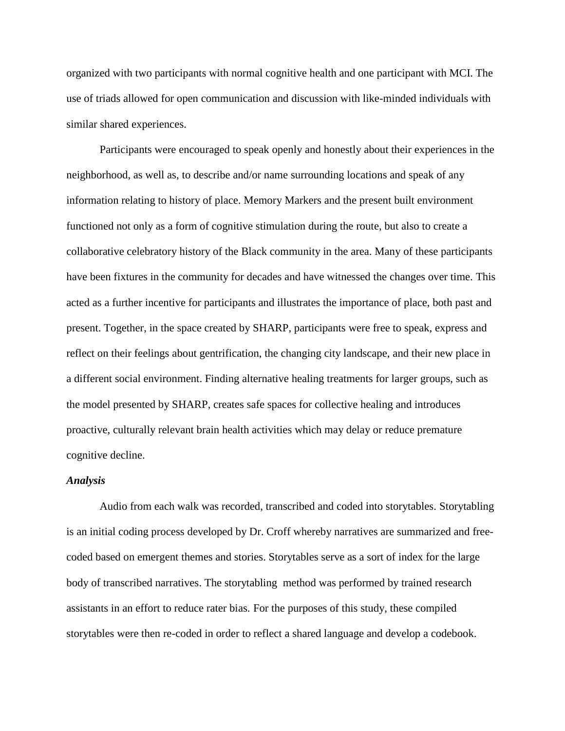organized with two participants with normal cognitive health and one participant with MCI. The use of triads allowed for open communication and discussion with like-minded individuals with similar shared experiences.

Participants were encouraged to speak openly and honestly about their experiences in the neighborhood, as well as, to describe and/or name surrounding locations and speak of any information relating to history of place. Memory Markers and the present built environment functioned not only as a form of cognitive stimulation during the route, but also to create a collaborative celebratory history of the Black community in the area. Many of these participants have been fixtures in the community for decades and have witnessed the changes over time. This acted as a further incentive for participants and illustrates the importance of place, both past and present. Together, in the space created by SHARP, participants were free to speak, express and reflect on their feelings about gentrification, the changing city landscape, and their new place in a different social environment. Finding alternative healing treatments for larger groups, such as the model presented by SHARP, creates safe spaces for collective healing and introduces proactive, culturally relevant brain health activities which may delay or reduce premature cognitive decline.

#### *Analysis*

Audio from each walk was recorded, transcribed and coded into storytables. Storytabling is an initial coding process developed by Dr. Croff whereby narratives are summarized and freecoded based on emergent themes and stories. Storytables serve as a sort of index for the large body of transcribed narratives. The storytabling method was performed by trained research assistants in an effort to reduce rater bias. For the purposes of this study, these compiled storytables were then re-coded in order to reflect a shared language and develop a codebook.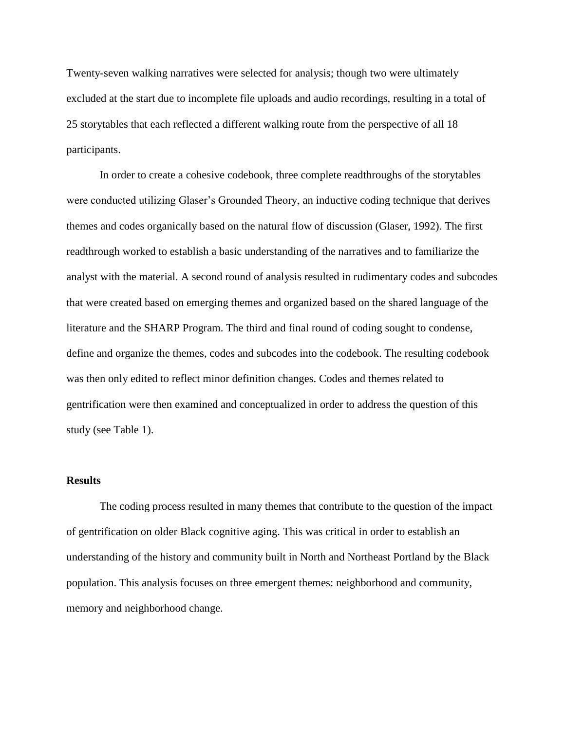Twenty-seven walking narratives were selected for analysis; though two were ultimately excluded at the start due to incomplete file uploads and audio recordings, resulting in a total of 25 storytables that each reflected a different walking route from the perspective of all 18 participants.

In order to create a cohesive codebook, three complete readthroughs of the storytables were conducted utilizing Glaser's Grounded Theory, an inductive coding technique that derives themes and codes organically based on the natural flow of discussion (Glaser, 1992). The first readthrough worked to establish a basic understanding of the narratives and to familiarize the analyst with the material. A second round of analysis resulted in rudimentary codes and subcodes that were created based on emerging themes and organized based on the shared language of the literature and the SHARP Program. The third and final round of coding sought to condense, define and organize the themes, codes and subcodes into the codebook. The resulting codebook was then only edited to reflect minor definition changes. Codes and themes related to gentrification were then examined and conceptualized in order to address the question of this study (see Table 1).

# **Results**

The coding process resulted in many themes that contribute to the question of the impact of gentrification on older Black cognitive aging. This was critical in order to establish an understanding of the history and community built in North and Northeast Portland by the Black population. This analysis focuses on three emergent themes: neighborhood and community, memory and neighborhood change.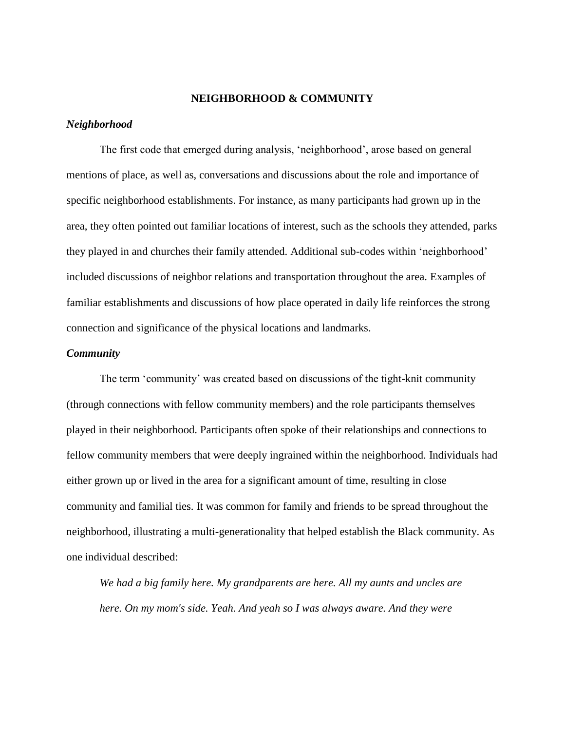# **NEIGHBORHOOD & COMMUNITY**

# *Neighborhood*

The first code that emerged during analysis, 'neighborhood', arose based on general mentions of place, as well as, conversations and discussions about the role and importance of specific neighborhood establishments. For instance, as many participants had grown up in the area, they often pointed out familiar locations of interest, such as the schools they attended, parks they played in and churches their family attended. Additional sub-codes within 'neighborhood' included discussions of neighbor relations and transportation throughout the area. Examples of familiar establishments and discussions of how place operated in daily life reinforces the strong connection and significance of the physical locations and landmarks.

#### *Community*

The term 'community' was created based on discussions of the tight-knit community (through connections with fellow community members) and the role participants themselves played in their neighborhood. Participants often spoke of their relationships and connections to fellow community members that were deeply ingrained within the neighborhood. Individuals had either grown up or lived in the area for a significant amount of time, resulting in close community and familial ties. It was common for family and friends to be spread throughout the neighborhood, illustrating a multi-generationality that helped establish the Black community. As one individual described:

*We had a big family here. My grandparents are here. All my aunts and uncles are here. On my mom's side. Yeah. And yeah so I was always aware. And they were*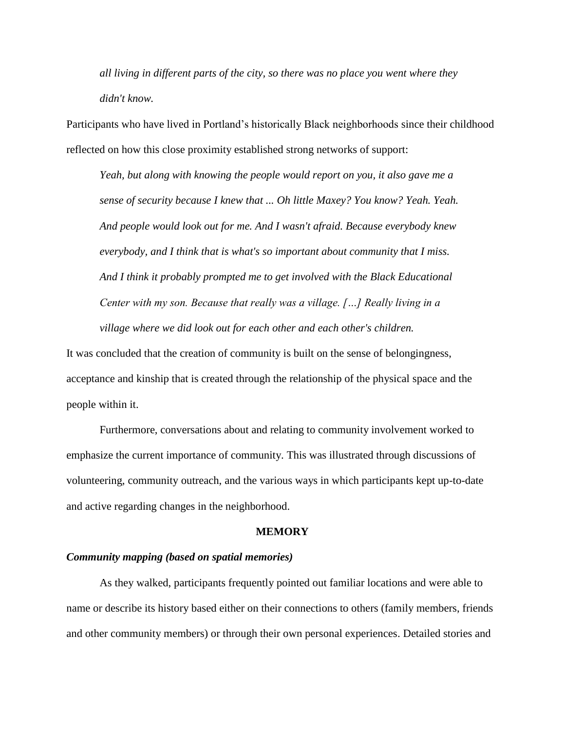*all living in different parts of the city, so there was no place you went where they didn't know.*

Participants who have lived in Portland's historically Black neighborhoods since their childhood reflected on how this close proximity established strong networks of support:

*Yeah, but along with knowing the people would report on you, it also gave me a sense of security because I knew that ... Oh little Maxey? You know? Yeah. Yeah. And people would look out for me. And I wasn't afraid. Because everybody knew everybody, and I think that is what's so important about community that I miss. And I think it probably prompted me to get involved with the Black Educational Center with my son. Because that really was a village. […] Really living in a village where we did look out for each other and each other's children.*

It was concluded that the creation of community is built on the sense of belongingness, acceptance and kinship that is created through the relationship of the physical space and the people within it.

Furthermore, conversations about and relating to community involvement worked to emphasize the current importance of community. This was illustrated through discussions of volunteering, community outreach, and the various ways in which participants kept up-to-date and active regarding changes in the neighborhood.

#### **MEMORY**

# *Community mapping (based on spatial memories)*

As they walked, participants frequently pointed out familiar locations and were able to name or describe its history based either on their connections to others (family members, friends and other community members) or through their own personal experiences. Detailed stories and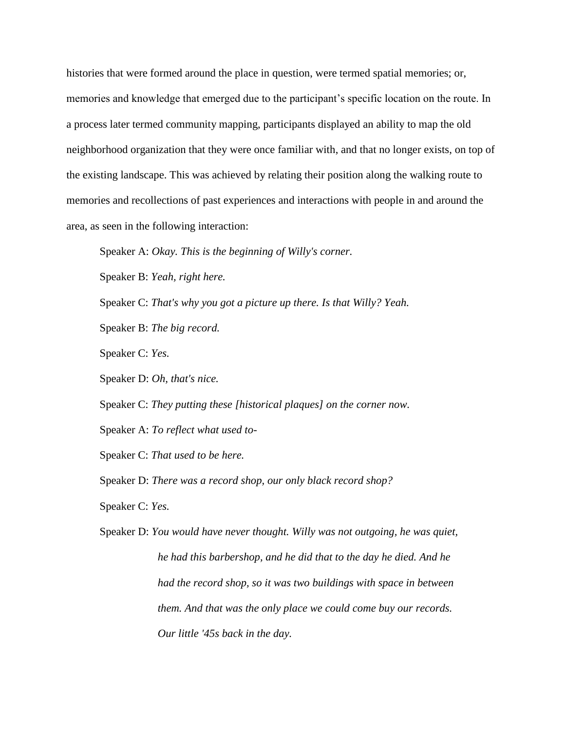histories that were formed around the place in question, were termed spatial memories; or, memories and knowledge that emerged due to the participant's specific location on the route. In a process later termed community mapping, participants displayed an ability to map the old neighborhood organization that they were once familiar with, and that no longer exists, on top of the existing landscape. This was achieved by relating their position along the walking route to memories and recollections of past experiences and interactions with people in and around the area, as seen in the following interaction:

Speaker A: *Okay. This is the beginning of Willy's corner.*

Speaker B: *Yeah, right here.*

Speaker C: *That's why you got a picture up there. Is that Willy? Yeah.*

Speaker B: *The big record.*

Speaker C: *Yes.*

Speaker D: *Oh, that's nice.*

Speaker C: *They putting these [historical plaques] on the corner now.*

Speaker A: *To reflect what used to-*

Speaker C: *That used to be here.*

Speaker D: *There was a record shop, our only black record shop?*

Speaker C: *Yes.*

Speaker D: *You would have never thought. Willy was not outgoing, he was quiet, he had this barbershop, and he did that to the day he died. And he had the record shop, so it was two buildings with space in between them. And that was the only place we could come buy our records. Our little '45s back in the day.*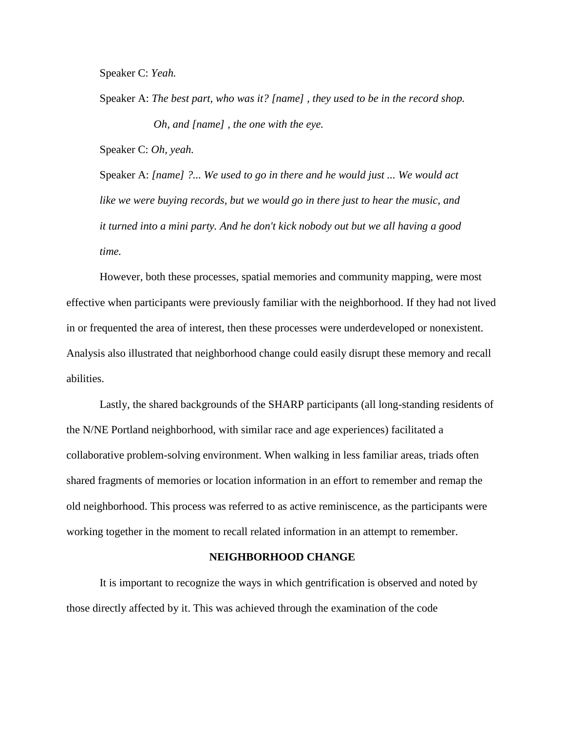Speaker C: *Yeah.*

Speaker A: *The best part, who was it? [name] , they used to be in the record shop. Oh, and [name] , the one with the eye.*

Speaker C: *Oh, yeah.*

Speaker A: *[name] ?... We used to go in there and he would just ... We would act like we were buying records, but we would go in there just to hear the music, and it turned into a mini party. And he don't kick nobody out but we all having a good time.*

However, both these processes, spatial memories and community mapping, were most effective when participants were previously familiar with the neighborhood. If they had not lived in or frequented the area of interest, then these processes were underdeveloped or nonexistent. Analysis also illustrated that neighborhood change could easily disrupt these memory and recall abilities.

Lastly, the shared backgrounds of the SHARP participants (all long-standing residents of the N/NE Portland neighborhood, with similar race and age experiences) facilitated a collaborative problem-solving environment. When walking in less familiar areas, triads often shared fragments of memories or location information in an effort to remember and remap the old neighborhood. This process was referred to as active reminiscence, as the participants were working together in the moment to recall related information in an attempt to remember.

# **NEIGHBORHOOD CHANGE**

It is important to recognize the ways in which gentrification is observed and noted by those directly affected by it. This was achieved through the examination of the code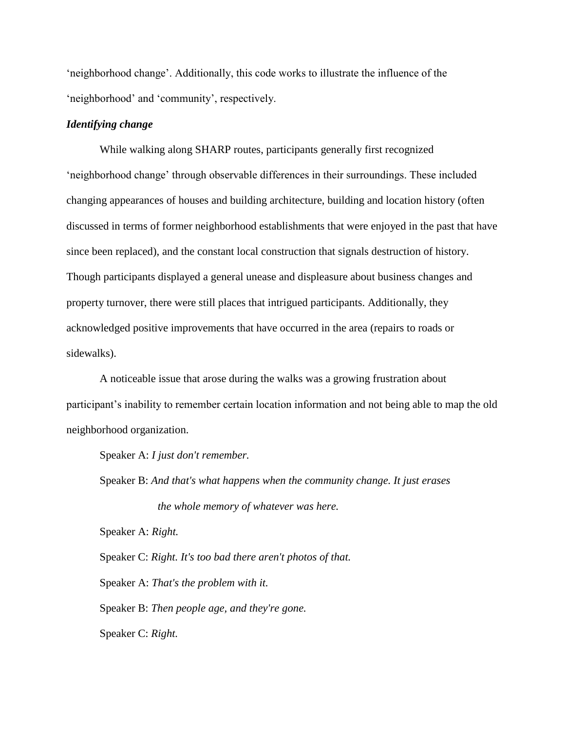'neighborhood change'. Additionally, this code works to illustrate the influence of the 'neighborhood' and 'community', respectively.

# *Identifying change*

While walking along SHARP routes, participants generally first recognized 'neighborhood change' through observable differences in their surroundings. These included changing appearances of houses and building architecture, building and location history (often discussed in terms of former neighborhood establishments that were enjoyed in the past that have since been replaced), and the constant local construction that signals destruction of history. Though participants displayed a general unease and displeasure about business changes and property turnover, there were still places that intrigued participants. Additionally, they acknowledged positive improvements that have occurred in the area (repairs to roads or sidewalks).

A noticeable issue that arose during the walks was a growing frustration about participant's inability to remember certain location information and not being able to map the old neighborhood organization.

Speaker A: *I just don't remember.*

Speaker B: *And that's what happens when the community change. It just erases the whole memory of whatever was here.*

Speaker A: *Right.*

Speaker C: *Right. It's too bad there aren't photos of that.*

Speaker A: *That's the problem with it.*

Speaker B: *Then people age, and they're gone.*

Speaker C: *Right.*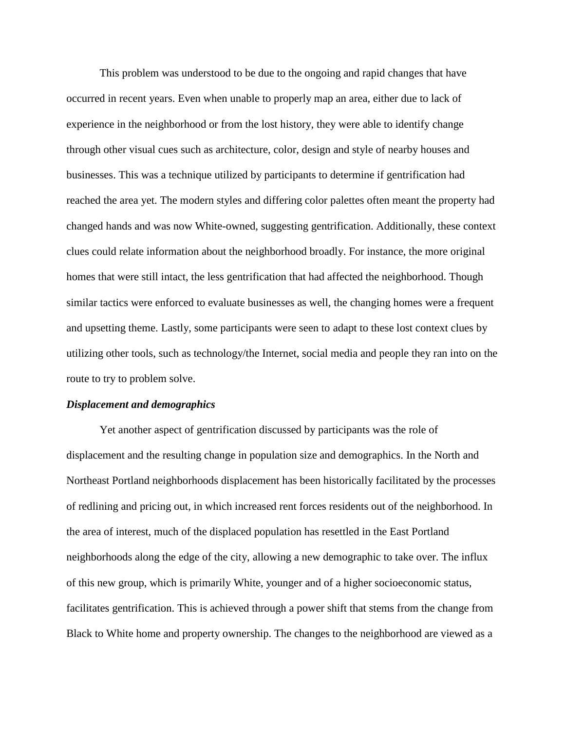This problem was understood to be due to the ongoing and rapid changes that have occurred in recent years. Even when unable to properly map an area, either due to lack of experience in the neighborhood or from the lost history, they were able to identify change through other visual cues such as architecture, color, design and style of nearby houses and businesses. This was a technique utilized by participants to determine if gentrification had reached the area yet. The modern styles and differing color palettes often meant the property had changed hands and was now White-owned, suggesting gentrification. Additionally, these context clues could relate information about the neighborhood broadly. For instance, the more original homes that were still intact, the less gentrification that had affected the neighborhood. Though similar tactics were enforced to evaluate businesses as well, the changing homes were a frequent and upsetting theme. Lastly, some participants were seen to adapt to these lost context clues by utilizing other tools, such as technology/the Internet, social media and people they ran into on the route to try to problem solve.

#### *Displacement and demographics*

Yet another aspect of gentrification discussed by participants was the role of displacement and the resulting change in population size and demographics. In the North and Northeast Portland neighborhoods displacement has been historically facilitated by the processes of redlining and pricing out, in which increased rent forces residents out of the neighborhood. In the area of interest, much of the displaced population has resettled in the East Portland neighborhoods along the edge of the city, allowing a new demographic to take over. The influx of this new group, which is primarily White, younger and of a higher socioeconomic status, facilitates gentrification. This is achieved through a power shift that stems from the change from Black to White home and property ownership. The changes to the neighborhood are viewed as a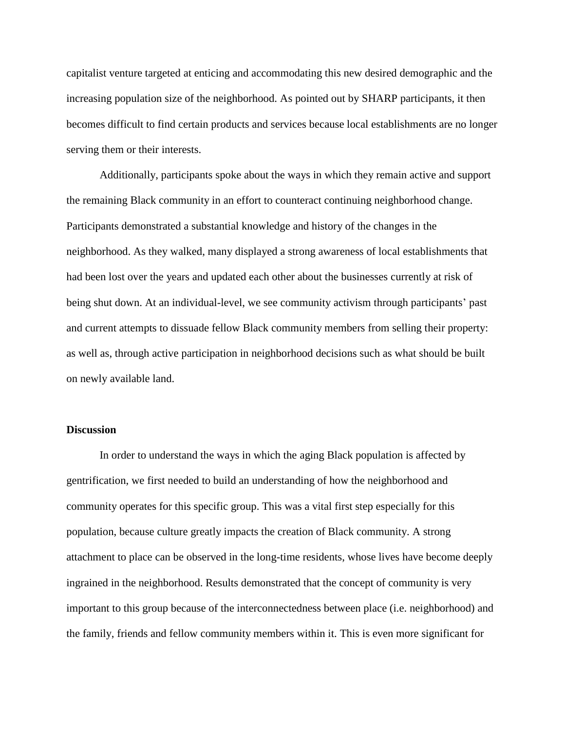capitalist venture targeted at enticing and accommodating this new desired demographic and the increasing population size of the neighborhood. As pointed out by SHARP participants, it then becomes difficult to find certain products and services because local establishments are no longer serving them or their interests.

Additionally, participants spoke about the ways in which they remain active and support the remaining Black community in an effort to counteract continuing neighborhood change. Participants demonstrated a substantial knowledge and history of the changes in the neighborhood. As they walked, many displayed a strong awareness of local establishments that had been lost over the years and updated each other about the businesses currently at risk of being shut down. At an individual-level, we see community activism through participants' past and current attempts to dissuade fellow Black community members from selling their property: as well as, through active participation in neighborhood decisions such as what should be built on newly available land.

# **Discussion**

In order to understand the ways in which the aging Black population is affected by gentrification, we first needed to build an understanding of how the neighborhood and community operates for this specific group. This was a vital first step especially for this population, because culture greatly impacts the creation of Black community. A strong attachment to place can be observed in the long-time residents, whose lives have become deeply ingrained in the neighborhood. Results demonstrated that the concept of community is very important to this group because of the interconnectedness between place (i.e. neighborhood) and the family, friends and fellow community members within it. This is even more significant for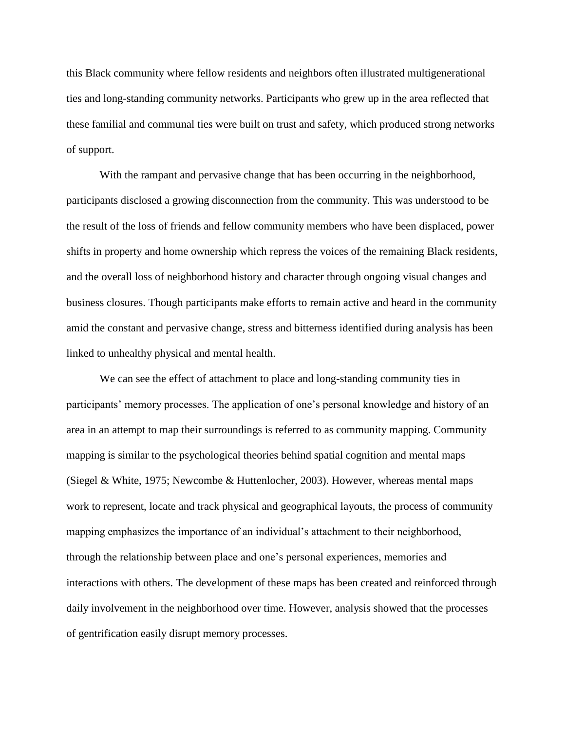this Black community where fellow residents and neighbors often illustrated multigenerational ties and long-standing community networks. Participants who grew up in the area reflected that these familial and communal ties were built on trust and safety, which produced strong networks of support.

With the rampant and pervasive change that has been occurring in the neighborhood, participants disclosed a growing disconnection from the community. This was understood to be the result of the loss of friends and fellow community members who have been displaced, power shifts in property and home ownership which repress the voices of the remaining Black residents, and the overall loss of neighborhood history and character through ongoing visual changes and business closures. Though participants make efforts to remain active and heard in the community amid the constant and pervasive change, stress and bitterness identified during analysis has been linked to unhealthy physical and mental health.

We can see the effect of attachment to place and long-standing community ties in participants' memory processes. The application of one's personal knowledge and history of an area in an attempt to map their surroundings is referred to as community mapping. Community mapping is similar to the psychological theories behind spatial cognition and mental maps (Siegel & White, 1975; Newcombe & Huttenlocher, 2003). However, whereas mental maps work to represent, locate and track physical and geographical layouts, the process of community mapping emphasizes the importance of an individual's attachment to their neighborhood, through the relationship between place and one's personal experiences, memories and interactions with others. The development of these maps has been created and reinforced through daily involvement in the neighborhood over time. However, analysis showed that the processes of gentrification easily disrupt memory processes.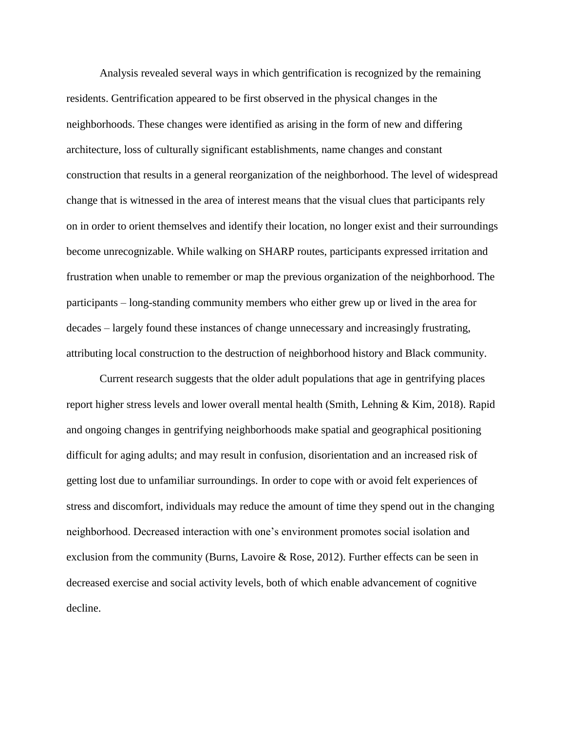Analysis revealed several ways in which gentrification is recognized by the remaining residents. Gentrification appeared to be first observed in the physical changes in the neighborhoods. These changes were identified as arising in the form of new and differing architecture, loss of culturally significant establishments, name changes and constant construction that results in a general reorganization of the neighborhood. The level of widespread change that is witnessed in the area of interest means that the visual clues that participants rely on in order to orient themselves and identify their location, no longer exist and their surroundings become unrecognizable. While walking on SHARP routes, participants expressed irritation and frustration when unable to remember or map the previous organization of the neighborhood. The participants – long-standing community members who either grew up or lived in the area for decades – largely found these instances of change unnecessary and increasingly frustrating, attributing local construction to the destruction of neighborhood history and Black community.

Current research suggests that the older adult populations that age in gentrifying places report higher stress levels and lower overall mental health (Smith, Lehning & Kim, 2018). Rapid and ongoing changes in gentrifying neighborhoods make spatial and geographical positioning difficult for aging adults; and may result in confusion, disorientation and an increased risk of getting lost due to unfamiliar surroundings. In order to cope with or avoid felt experiences of stress and discomfort, individuals may reduce the amount of time they spend out in the changing neighborhood. Decreased interaction with one's environment promotes social isolation and exclusion from the community (Burns, Lavoire & Rose, 2012). Further effects can be seen in decreased exercise and social activity levels, both of which enable advancement of cognitive decline.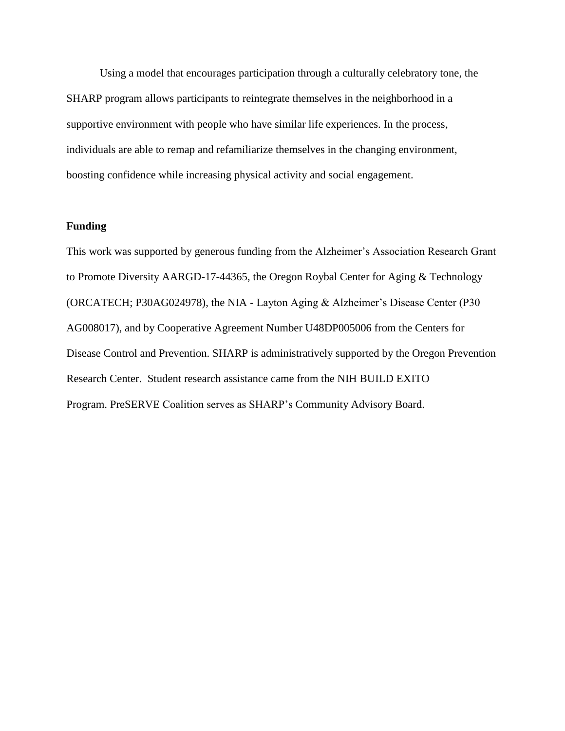Using a model that encourages participation through a culturally celebratory tone, the SHARP program allows participants to reintegrate themselves in the neighborhood in a supportive environment with people who have similar life experiences. In the process, individuals are able to remap and refamiliarize themselves in the changing environment, boosting confidence while increasing physical activity and social engagement.

# **Funding**

This work was supported by generous funding from the Alzheimer's Association Research Grant to Promote Diversity AARGD-17-44365, the Oregon Roybal Center for Aging & Technology (ORCATECH; P30AG024978), the NIA - Layton Aging & Alzheimer's Disease Center (P30 AG008017), and by Cooperative Agreement Number U48DP005006 from the Centers for Disease Control and Prevention. SHARP is administratively supported by the Oregon Prevention Research Center. Student research assistance came from the NIH BUILD EXITO Program. PreSERVE Coalition serves as SHARP's Community Advisory Board.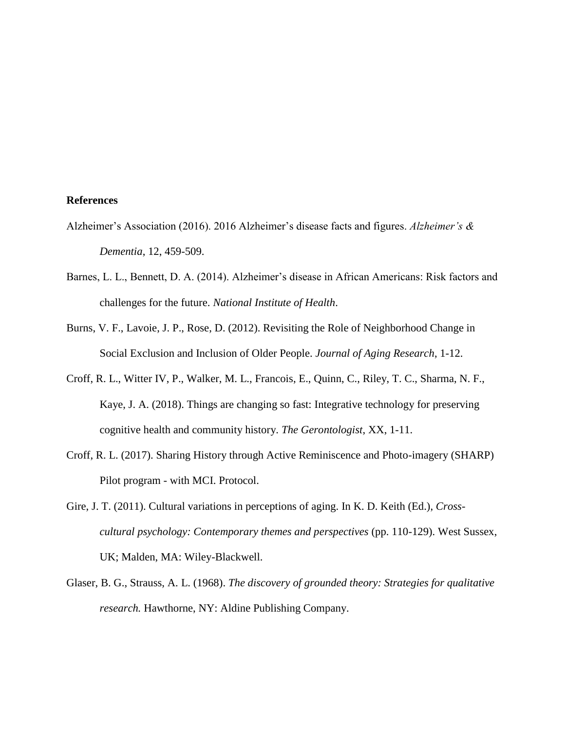# **References**

- Alzheimer's Association (2016). 2016 Alzheimer's disease facts and figures. *Alzheimer's & Dementia*, 12, 459-509.
- Barnes, L. L., Bennett, D. A. (2014). Alzheimer's disease in African Americans: Risk factors and challenges for the future. *National Institute of Health*.
- Burns, V. F., Lavoie, J. P., Rose, D. (2012). Revisiting the Role of Neighborhood Change in Social Exclusion and Inclusion of Older People. *Journal of Aging Research*, 1-12.
- Croff, R. L., Witter IV, P., Walker, M. L., Francois, E., Quinn, C., Riley, T. C., Sharma, N. F., Kaye, J. A. (2018). Things are changing so fast: Integrative technology for preserving cognitive health and community history. *The Gerontologist*, XX, 1-11.
- Croff, R. L. (2017). Sharing History through Active Reminiscence and Photo-imagery (SHARP) Pilot program - with MCI. Protocol.
- Gire, J. T. (2011). Cultural variations in perceptions of aging. In K. D. Keith (Ed.), *Crosscultural psychology: Contemporary themes and perspectives* (pp. 110-129). West Sussex, UK; Malden, MA: Wiley-Blackwell.
- Glaser, B. G., Strauss, A. L. (1968). *The discovery of grounded theory: Strategies for qualitative research.* Hawthorne, NY: Aldine Publishing Company.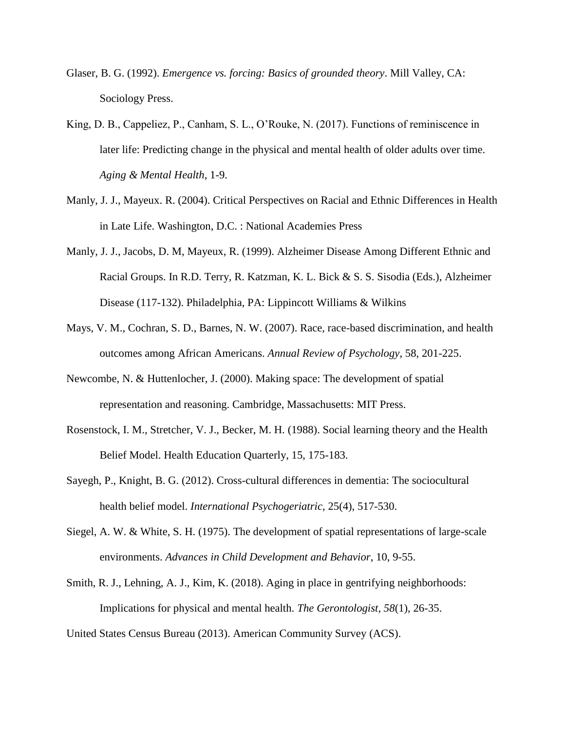- Glaser, B. G. (1992). *Emergence vs. forcing: Basics of grounded theory*. Mill Valley, CA: Sociology Press.
- King, D. B., Cappeliez, P., Canham, S. L., O'Rouke, N. (2017). Functions of reminiscence in later life: Predicting change in the physical and mental health of older adults over time. *Aging & Mental Health*, 1-9.
- Manly, J. J., Mayeux. R. (2004). Critical Perspectives on Racial and Ethnic Differences in Health in Late Life. Washington, D.C. : National Academies Press
- Manly, J. J., Jacobs, D. M, Mayeux, R. (1999). Alzheimer Disease Among Different Ethnic and Racial Groups. In R.D. Terry, R. Katzman, K. L. Bick & S. S. Sisodia (Eds.), Alzheimer Disease (117-132). Philadelphia, PA: Lippincott Williams & Wilkins
- Mays, V. M., Cochran, S. D., Barnes, N. W. (2007). Race, race-based discrimination, and health outcomes among African Americans. *Annual Review of Psychology*, 58, 201-225.
- Newcombe, N. & Huttenlocher, J. (2000). Making space: The development of spatial representation and reasoning. Cambridge, Massachusetts: MIT Press.
- Rosenstock, I. M., Stretcher, V. J., Becker, M. H. (1988). Social learning theory and the Health Belief Model. Health Education Quarterly, 15, 175-183.
- Sayegh, P., Knight, B. G. (2012). Cross-cultural differences in dementia: The sociocultural health belief model. *International Psychogeriatric*, 25(4), 517-530.
- Siegel, A. W. & White, S. H. (1975). The development of spatial representations of large-scale environments. *Advances in Child Development and Behavior*, 10, 9-55.
- Smith, R. J., Lehning, A. J., Kim, K. (2018). Aging in place in gentrifying neighborhoods: Implications for physical and mental health. *The Gerontologist, 58*(1), 26-35.
- United States Census Bureau (2013). American Community Survey (ACS).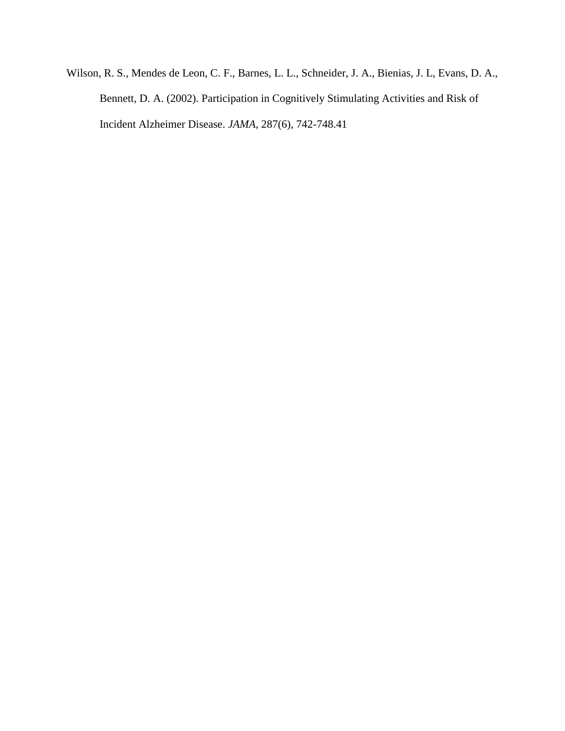Wilson, R. S., Mendes de Leon, C. F., Barnes, L. L., Schneider, J. A., Bienias, J. L, Evans, D. A., Bennett, D. A. (2002). Participation in Cognitively Stimulating Activities and Risk of Incident Alzheimer Disease. *JAMA*, 287(6), 742-748.41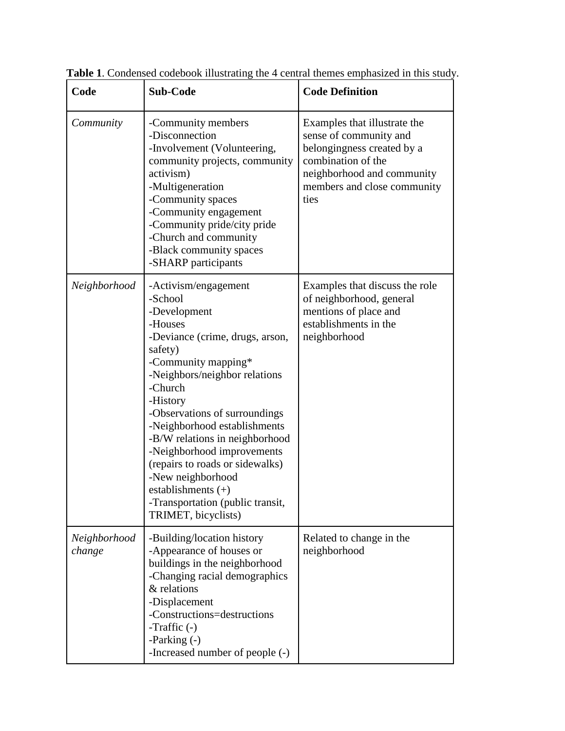| Code                   | <b>Sub-Code</b>                                                                                                                                                                                                                                                                                                                                                                                                                                                     | <b>Code Definition</b>                                                                                                                                                          |
|------------------------|---------------------------------------------------------------------------------------------------------------------------------------------------------------------------------------------------------------------------------------------------------------------------------------------------------------------------------------------------------------------------------------------------------------------------------------------------------------------|---------------------------------------------------------------------------------------------------------------------------------------------------------------------------------|
| Community              | -Community members<br>-Disconnection<br>-Involvement (Volunteering,<br>community projects, community<br>activism)<br>-Multigeneration<br>-Community spaces<br>-Community engagement<br>-Community pride/city pride<br>-Church and community<br>-Black community spaces<br>-SHARP participants                                                                                                                                                                       | Examples that illustrate the<br>sense of community and<br>belongingness created by a<br>combination of the<br>neighborhood and community<br>members and close community<br>ties |
| Neighborhood           | -Activism/engagement<br>-School<br>-Development<br>-Houses<br>-Deviance (crime, drugs, arson,<br>safety)<br>-Community mapping*<br>-Neighbors/neighbor relations<br>-Church<br>-History<br>-Observations of surroundings<br>-Neighborhood establishments<br>-B/W relations in neighborhood<br>-Neighborhood improvements<br>(repairs to roads or sidewalks)<br>-New neighborhood<br>establishments $(+)$<br>-Transportation (public transit,<br>TRIMET, bicyclists) | Examples that discuss the role<br>of neighborhood, general<br>mentions of place and<br>establishments in the<br>neighborhood                                                    |
| Neighborhood<br>change | -Building/location history<br>-Appearance of houses or<br>buildings in the neighborhood<br>-Changing racial demographics<br>& relations<br>-Displacement<br>-Constructions=destructions<br>-Traffic $(-)$<br>-Parking (-)<br>-Increased number of people (-)                                                                                                                                                                                                        | Related to change in the<br>neighborhood                                                                                                                                        |

**Table 1**. Condensed codebook illustrating the 4 central themes emphasized in this study.